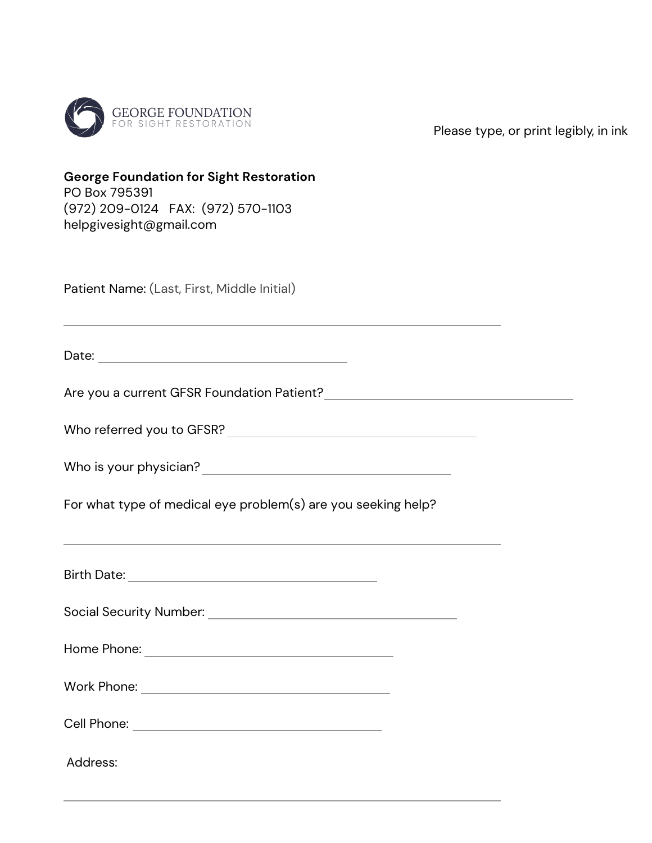

**George Foundation for Sight Restoration** 

Please type, or print legibly, in ink

| PO Box 795391<br>(972) 209-0124 FAX: (972) 570-1103<br>helpgivesight@gmail.com                                                                    |
|---------------------------------------------------------------------------------------------------------------------------------------------------|
| Patient Name: (Last, First, Middle Initial)                                                                                                       |
|                                                                                                                                                   |
|                                                                                                                                                   |
|                                                                                                                                                   |
|                                                                                                                                                   |
| For what type of medical eye problem(s) are you seeking help?<br>,我们也不能在这里的时候,我们也不能在这里的时候,我们也不能会在这里的时候,我们也不能会在这里的时候,我们也不能会在这里的时候,我们也不能会在这里的时候,我们也 |
|                                                                                                                                                   |
| <b>Social Security Number:</b>                                                                                                                    |

Home Phone:

Work Phone:

Cell Phone:

Address: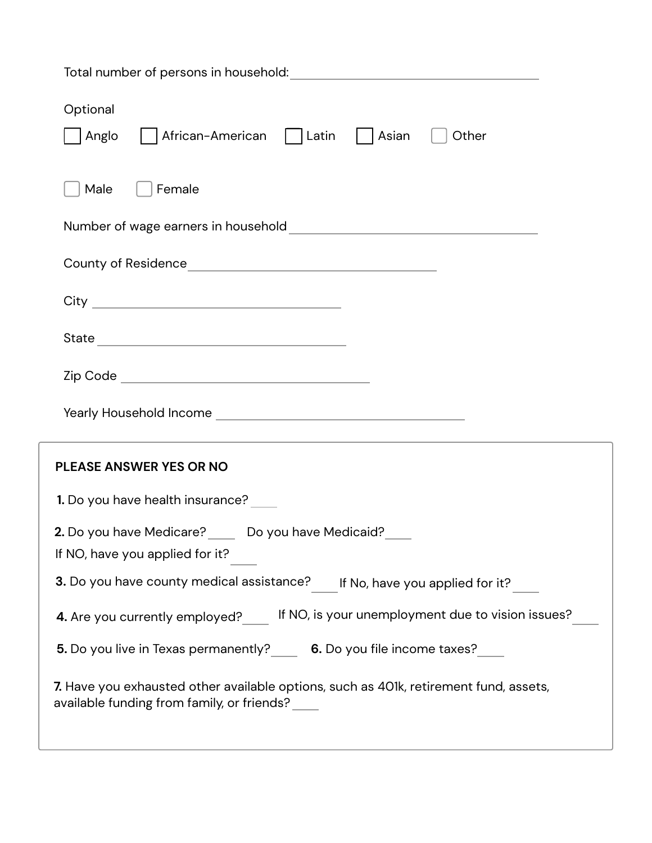| Optional<br>    African-American     Latin     Asian<br>Anglo<br>Other                                                              |
|-------------------------------------------------------------------------------------------------------------------------------------|
| Male<br>Female                                                                                                                      |
|                                                                                                                                     |
|                                                                                                                                     |
|                                                                                                                                     |
|                                                                                                                                     |
|                                                                                                                                     |
|                                                                                                                                     |
| PLEASE ANSWER YES OR NO                                                                                                             |
| <b>1.</b> Do you have health insurance? _____                                                                                       |
| 2. Do you have Medicare? ____ Do you have Medicaid? __<br>If NO, have you applied for it?                                           |
| 3. Do you have county medical assistance?<br>If No, have you applied for it?                                                        |
| 4. Are you currently employed? If NO, is your unemployment due to vision issues?                                                    |
| 5. Do you live in Texas permanently? ____ 6. Do you file income taxes? ____                                                         |
| 7. Have you exhausted other available options, such as 401k, retirement fund, assets,<br>available funding from family, or friends? |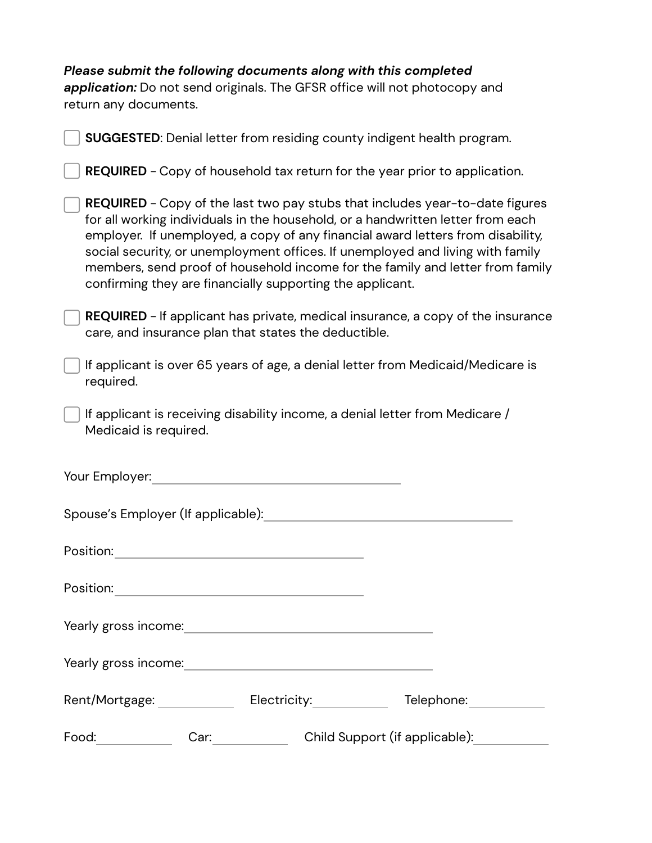| Please submit the following documents along with this completed<br>application: Do not send originals. The GFSR office will not photocopy and<br>return any documents.                                                                                                                                                                                                                                                                                                             |
|------------------------------------------------------------------------------------------------------------------------------------------------------------------------------------------------------------------------------------------------------------------------------------------------------------------------------------------------------------------------------------------------------------------------------------------------------------------------------------|
| SUGGESTED: Denial letter from residing county indigent health program.                                                                                                                                                                                                                                                                                                                                                                                                             |
| <b>REQUIRED</b> - Copy of household tax return for the year prior to application.                                                                                                                                                                                                                                                                                                                                                                                                  |
| REQUIRED - Copy of the last two pay stubs that includes year-to-date figures<br>for all working individuals in the household, or a handwritten letter from each<br>employer. If unemployed, a copy of any financial award letters from disability,<br>social security, or unemployment offices. If unemployed and living with family<br>members, send proof of household income for the family and letter from family<br>confirming they are financially supporting the applicant. |
| <b>REQUIRED</b> - If applicant has private, medical insurance, a copy of the insurance<br>care, and insurance plan that states the deductible.                                                                                                                                                                                                                                                                                                                                     |
| If applicant is over 65 years of age, a denial letter from Medicaid/Medicare is<br>required.                                                                                                                                                                                                                                                                                                                                                                                       |
| If applicant is receiving disability income, a denial letter from Medicare /<br>Medicaid is required.                                                                                                                                                                                                                                                                                                                                                                              |
| Your Employer:                                                                                                                                                                                                                                                                                                                                                                                                                                                                     |
| Spouse's Employer (If applicable):                                                                                                                                                                                                                                                                                                                                                                                                                                                 |
|                                                                                                                                                                                                                                                                                                                                                                                                                                                                                    |
|                                                                                                                                                                                                                                                                                                                                                                                                                                                                                    |
|                                                                                                                                                                                                                                                                                                                                                                                                                                                                                    |
|                                                                                                                                                                                                                                                                                                                                                                                                                                                                                    |
| Rent/Mortgage: Electricity:__________ Telephone:___________                                                                                                                                                                                                                                                                                                                                                                                                                        |
| Car: Child Support (if applicable):                                                                                                                                                                                                                                                                                                                                                                                                                                                |